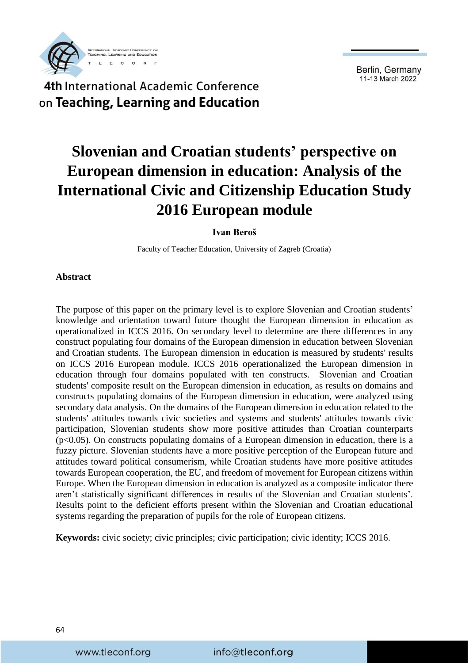

#### 4th International Academic Conference on Teaching, Learning and Education

# **Slovenian and Croatian students' perspective on European dimension in education: Analysis of the International Civic and Citizenship Education Study 2016 European module**

#### **Ivan Beroš**

Faculty of Teacher Education, University of Zagreb (Croatia)

#### **Abstract**

The purpose of this paper on the primary level is to explore Slovenian and Croatian students' knowledge and orientation toward future thought the European dimension in education as operationalized in ICCS 2016. On secondary level to determine are there differences in any construct populating four domains of the European dimension in education between Slovenian and Croatian students. The European dimension in education is measured by students' results on ICCS 2016 European module. ICCS 2016 operationalized the European dimension in education through four domains populated with ten constructs. Slovenian and Croatian students' composite result on the European dimension in education, as results on domains and constructs populating domains of the European dimension in education, were analyzed using secondary data analysis. On the domains of the European dimension in education related to the students' attitudes towards civic societies and systems and students' attitudes towards civic participation, Slovenian students show more positive attitudes than Croatian counterparts  $(p<0.05)$ . On constructs populating domains of a European dimension in education, there is a fuzzy picture. Slovenian students have a more positive perception of the European future and attitudes toward political consumerism, while Croatian students have more positive attitudes towards European cooperation, the EU, and freedom of movement for European citizens within Europe. When the European dimension in education is analyzed as a composite indicator there aren't statistically significant differences in results of the Slovenian and Croatian students'. Results point to the deficient efforts present within the Slovenian and Croatian educational systems regarding the preparation of pupils for the role of European citizens.

**Keywords:** civic society; civic principles; civic participation; civic identity; ICCS 2016.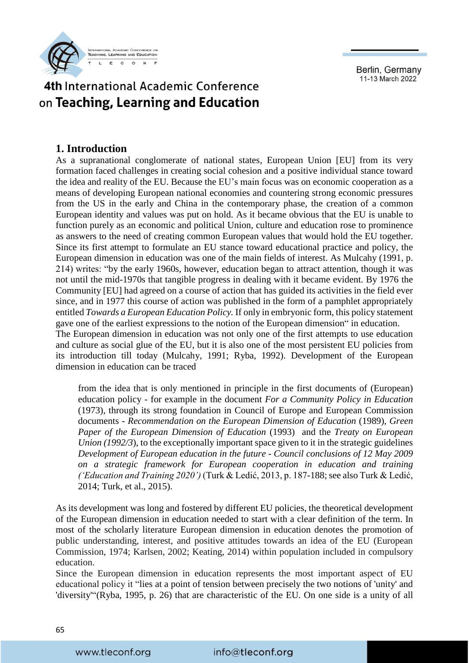

# 4th International Academic Conference on Teaching, Learning and Education

#### **1. Introduction**

As a supranational conglomerate of national states, European Union [EU] from its very formation faced challenges in creating social cohesion and a positive individual stance toward the idea and reality of the EU. Because the EU's main focus was on economic cooperation as a means of developing European national economies and countering strong economic pressures from the US in the early and China in the contemporary phase, the creation of a common European identity and values was put on hold. As it became obvious that the EU is unable to function purely as an economic and political Union, culture and education rose to prominence as answers to the need of creating common European values that would hold the EU together. Since its first attempt to formulate an EU stance toward educational practice and policy, the European dimension in education was one of the main fields of interest. As Mulcahy (1991, p. 214) writes: "by the early 1960s, however, education began to attract attention, though it was not until the mid-1970s that tangible progress in dealing with it became evident. By 1976 the Community [EU] had agreed on a course of action that has guided its activities in the field ever since, and in 1977 this course of action was published in the form of a pamphlet appropriately entitled *Towards a European Education Policy.* If only in embryonic form, this policy statement gave one of the earliest expressions to the notion of the European dimension" in education. The European dimension in education was not only one of the first attempts to use education and culture as social glue of the EU, but it is also one of the most persistent EU policies from its introduction till today (Mulcahy, 1991; Ryba, 1992). Development of the European dimension in education can be traced

from the idea that is only mentioned in principle in the first documents of (European) education policy - for example in the document *For a Community Policy in Education*  (1973), through its strong foundation in Council of Europe and European Commission documents - *Recommendation on the European Dimension of Education* (1989), *Green Paper of the European Dimension of Education* (1993) and the *Treaty on European Union (1992/3*), to the exceptionally important space given to it in the strategic guidelines *Development of European education in the future* - *Council conclusions of 12 May 2009 on a strategic framework for European cooperation in education and training ('Education and Training 2020')* (Turk & Ledić, 2013, p. 187-188; see also Turk & Ledić, 2014; Turk, et al., 2015).

As its development was long and fostered by different EU policies, the theoretical development of the European dimension in education needed to start with a clear definition of the term. In most of the scholarly literature European dimension in education denotes the promotion of public understanding, interest, and positive attitudes towards an idea of the EU (European Commission, 1974; Karlsen, 2002; Keating, 2014) within population included in compulsory education.

Since the European dimension in education represents the most important aspect of EU educational policy it "lies at a point of tension between precisely the two notions of 'unity' and 'diversity'"(Ryba, 1995, p. 26) that are characteristic of the EU. On one side is a unity of all

#### info@tleconf.org

www.tleconf.org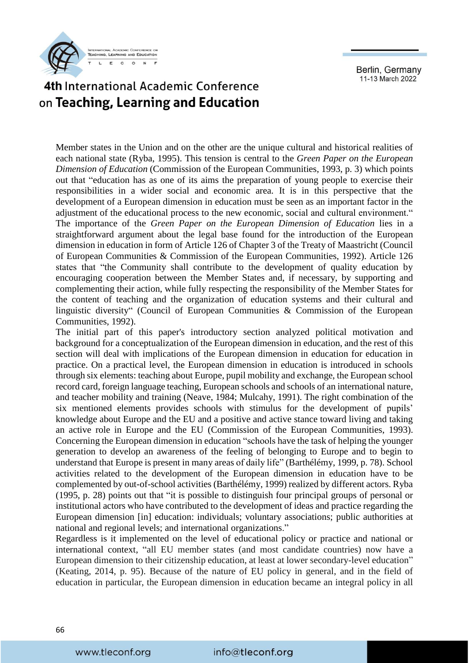

# 4th International Academic Conference on Teaching, Learning and Education

Member states in the Union and on the other are the unique cultural and historical realities of each national state (Ryba, 1995). This tension is central to the *Green Paper on the European Dimension of Education* (Commission of the European Communities, 1993, p. 3) which points out that "education has as one of its aims the preparation of young people to exercise their responsibilities in a wider social and economic area. It is in this perspective that the development of a European dimension in education must be seen as an important factor in the adjustment of the educational process to the new economic, social and cultural environment." The importance of the *Green Paper on the European Dimension of Education* lies in a straightforward argument about the legal base found for the introduction of the European dimension in education in form of Article 126 of Chapter 3 of the Treaty of Maastricht (Council of European Communities & Commission of the European Communities, 1992). Article 126 states that "the Community shall contribute to the development of quality education by encouraging cooperation between the Member States and, if necessary, by supporting and complementing their action, while fully respecting the responsibility of the Member States for the content of teaching and the organization of education systems and their cultural and linguistic diversity" (Council of European Communities & Commission of the European Communities, 1992).

The initial part of this paper's introductory section analyzed political motivation and background for a conceptualization of the European dimension in education, and the rest of this section will deal with implications of the European dimension in education for education in practice. On a practical level, the European dimension in education is introduced in schools through six elements: teaching about Europe, pupil mobility and exchange, the European school record card, foreign language teaching, European schools and schools of an international nature, and teacher mobility and training (Neave, 1984; Mulcahy, 1991). The right combination of the six mentioned elements provides schools with stimulus for the development of pupils' knowledge about Europe and the EU and a positive and active stance toward living and taking an active role in Europe and the EU (Commission of the European Communities, 1993). Concerning the European dimension in education "schools have the task of helping the younger generation to develop an awareness of the feeling of belonging to Europe and to begin to understand that Europe is present in many areas of daily life" (Barthélémy, 1999, p. 78). School activities related to the development of the European dimension in education have to be complemented by out-of-school activities (Barthélémy, 1999) realized by different actors. Ryba (1995, p. 28) points out that "it is possible to distinguish four principal groups of personal or institutional actors who have contributed to the development of ideas and practice regarding the European dimension [in] education: individuals; voluntary associations; public authorities at national and regional levels; and international organizations."

Regardless is it implemented on the level of educational policy or practice and national or international context, "all EU member states (and most candidate countries) now have a European dimension to their citizenship education, at least at lower secondary-level education" (Keating, 2014, p. 95). Because of the nature of EU policy in general, and in the field of education in particular, the European dimension in education became an integral policy in all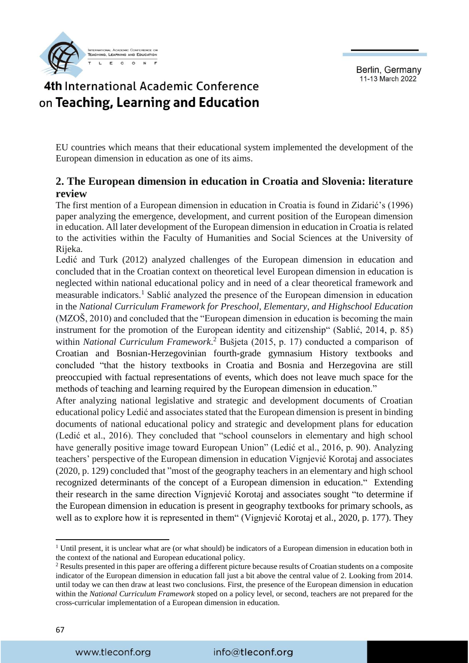

# 4th International Academic Conference on Teaching, Learning and Education

EU countries which means that their educational system implemented the development of the European dimension in education as one of its aims.

#### **2. The European dimension in education in Croatia and Slovenia: literature review**

The first mention of a European dimension in education in Croatia is found in Zidarić's (1996) paper analyzing the emergence, development, and current position of the European dimension in education. All later development of the European dimension in education in Croatia is related to the activities within the Faculty of Humanities and Social Sciences at the University of Rijeka.

Ledić and Turk (2012) analyzed challenges of the European dimension in education and concluded that in the Croatian context on theoretical level European dimension in education is neglected within national educational policy and in need of a clear theoretical framework and measurable indicators.<sup>1</sup> Sablić analyzed the presence of the European dimension in education in the *National Curriculum Framework for Preschool, Elementary, and Highschool Education*  (MZOŠ, 2010) and concluded that the "European dimension in education is becoming the main instrument for the promotion of the European identity and citizenship" (Sablić, 2014, p. 85) within *National Curriculum Framework*. <sup>2</sup> Bušjeta (2015, p. 17) conducted a comparison of Croatian and Bosnian-Herzegovinian fourth-grade gymnasium History textbooks and concluded "that the history textbooks in Croatia and Bosnia and Herzegovina are still preoccupied with factual representations of events, which does not leave much space for the methods of teaching and learning required by the European dimension in education."

After analyzing national legislative and strategic and development documents of Croatian educational policy Ledić and associates stated that the European dimension is present in binding documents of national educational policy and strategic and development plans for education (Ledić et al., 2016). They concluded that "school counselors in elementary and high school have generally positive image toward European Union" (Ledić et al., 2016, p. 90). Analyzing teachers' perspective of the European dimension in education Vignjević Korotaj and associates (2020, p. 129) concluded that "most of the geography teachers in an elementary and high school recognized determinants of the concept of a European dimension in education." Extending their research in the same direction Vignjević Korotaj and associates sought "to determine if the European dimension in education is present in geography textbooks for primary schools, as well as to explore how it is represented in them" (Vignjević Korotaj et al., 2020, p. 177). They

**.** 

<sup>&</sup>lt;sup>1</sup> Until present, it is unclear what are (or what should) be indicators of a European dimension in education both in the context of the national and European educational policy.

<sup>&</sup>lt;sup>2</sup> Results presented in this paper are offering a different picture because results of Croatian students on a composite indicator of the European dimension in education fall just a bit above the central value of 2. Looking from 2014. until today we can then draw at least two conclusions. First, the presence of the European dimension in education within the *National Curriculum Framework* stoped on a policy level, or second, teachers are not prepared for the cross-curricular implementation of a European dimension in education.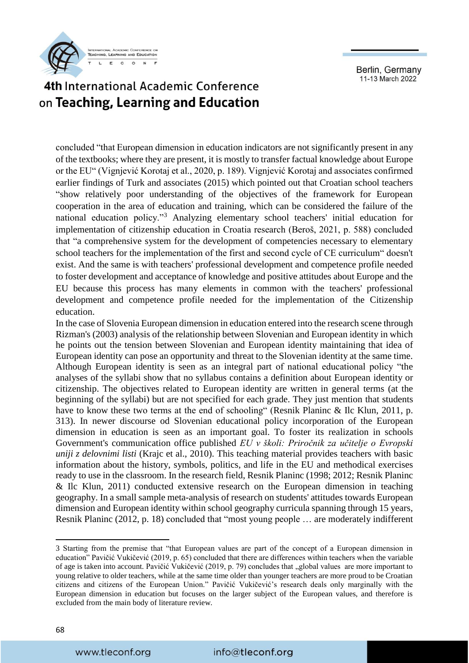

# 4th International Academic Conference on Teaching, Learning and Education

concluded "that European dimension in education indicators are not significantly present in any of the textbooks; where they are present, it is mostly to transfer factual knowledge about Europe or the EU" (Vignjević Korotaj et al., 2020, p. 189). Vignjević Korotaj and associates confirmed earlier findings of Turk and associates (2015) which pointed out that Croatian school teachers "show relatively poor understanding of the objectives of the framework for European cooperation in the area of education and training, which can be considered the failure of the national education policy."<sup>3</sup> Analyzing elementary school teachers' initial education for implementation of citizenship education in Croatia research (Beroš, 2021, p. 588) concluded that "a comprehensive system for the development of competencies necessary to elementary school teachers for the implementation of the first and second cycle of CE curriculum" doesn't exist. And the same is with teachers' professional development and competence profile needed to foster development and acceptance of knowledge and positive attitudes about Europe and the EU because this process has many elements in common with the teachers' professional development and competence profile needed for the implementation of the Citizenship education.

In the case of Slovenia European dimension in education entered into the research scene through Rizman's (2003) analysis of the relationship between Slovenian and European identity in which he points out the tension between Slovenian and European identity maintaining that idea of European identity can pose an opportunity and threat to the Slovenian identity at the same time. Although European identity is seen as an integral part of national educational policy "the analyses of the syllabi show that no syllabus contains a definition about European identity or citizenship. The objectives related to European identity are written in general terms (at the beginning of the syllabi) but are not specified for each grade. They just mention that students have to know these two terms at the end of schooling" (Resnik Planinc & Ilc Klun, 2011, p. 313). In newer discourse od Slovenian educational policy incorporation of the European dimension in education is seen as an important goal. To foster its realization in schools Government's communication office published *EU v školi: Priročnik za učitelje o Evropski uniji z delovnimi listi* (Krajc et al., 2010). This teaching material provides teachers with basic information about the history, symbols, politics, and life in the EU and methodical exercises ready to use in the classroom. In the research field, Resnik Planinc (1998; 2012; Resnik Planinc & Ilc Klun, 2011) conducted extensive research on the European dimension in teaching geography. In a small sample meta-analysis of research on students' attitudes towards European dimension and European identity within school geography curricula spanning through 15 years, Resnik Planinc (2012, p. 18) concluded that "most young people … are moderately indifferent

**.** 

<sup>3</sup> Starting from the premise that "that European values are part of the concept of a European dimension in education" Pavičić Vukičević (2019, p. 65) concluded that there are differences within teachers when the variable of age is taken into account. Pavičić Vukičević (2019, p. 79) concludes that "global values are more important to young relative to older teachers, while at the same time older than younger teachers are more proud to be Croatian citizens and citizens of the European Union." Pavičić Vukičević's research deals only marginally with the European dimension in education but focuses on the larger subject of the European values, and therefore is excluded from the main body of literature review.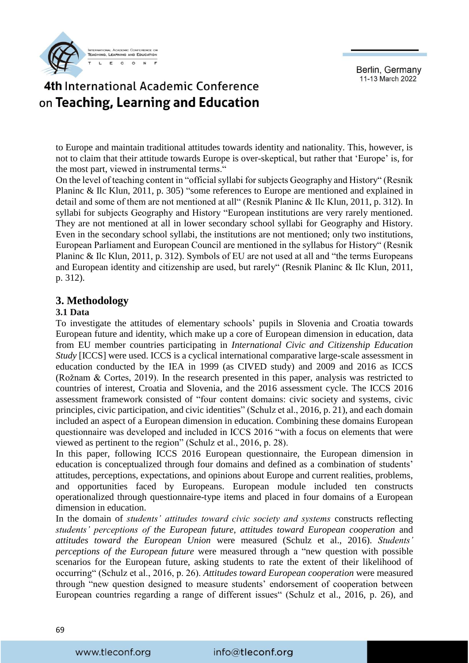

# 4th International Academic Conference on Teaching, Learning and Education

to Europe and maintain traditional attitudes towards identity and nationality. This, however, is not to claim that their attitude towards Europe is over-skeptical, but rather that 'Europe' is, for the most part, viewed in instrumental terms."

On the level of teaching content in "official syllabi for subjects Geography and History" (Resnik Planinc & Ilc Klun, 2011, p. 305) "some references to Europe are mentioned and explained in detail and some of them are not mentioned at all" (Resnik Planinc & Ilc Klun, 2011, p. 312). In syllabi for subjects Geography and History "European institutions are very rarely mentioned. They are not mentioned at all in lower secondary school syllabi for Geography and History. Even in the secondary school syllabi, the institutions are not mentioned; only two institutions, European Parliament and European Council are mentioned in the syllabus for History" (Resnik Planinc & Ilc Klun, 2011, p. 312). Symbols of EU are not used at all and "the terms Europeans and European identity and citizenship are used, but rarely" (Resnik Planinc & Ilc Klun, 2011, p. 312).

#### **3. Methodology**

#### **3.1 Data**

To investigate the attitudes of elementary schools' pupils in Slovenia and Croatia towards European future and identity, which make up a core of European dimension in education, data from EU member countries participating in *International Civic and Citizenship Education Study* [ICCS] were used. ICCS is a cyclical international comparative large-scale assessment in education conducted by the IEA in 1999 (as CIVED study) and 2009 and 2016 as ICCS (Rožnam & Cortes, 2019). In the research presented in this paper, analysis was restricted to countries of interest, Croatia and Slovenia, and the 2016 assessment cycle. The ICCS 2016 assessment framework consisted of "four content domains: civic society and systems, civic principles, civic participation, and civic identities" (Schulz et al., 2016, p. 21), and each domain included an aspect of a European dimension in education. Combining these domains European questionnaire was developed and included in ICCS 2016 "with a focus on elements that were viewed as pertinent to the region" (Schulz et al., 2016, p. 28).

In this paper, following ICCS 2016 European questionnaire, the European dimension in education is conceptualized through four domains and defined as a combination of students' attitudes, perceptions, expectations, and opinions about Europe and current realities, problems, and opportunities faced by Europeans. European module included ten constructs operationalized through questionnaire-type items and placed in four domains of a European dimension in education.

In the domain of *students' attitudes toward civic society and systems* constructs reflecting *students' perceptions of the European future*, *attitudes toward European cooperation* and *attitudes toward the European Union* were measured (Schulz et al., 2016). *Students' perceptions of the European future* were measured through a "new question with possible scenarios for the European future, asking students to rate the extent of their likelihood of occurring" (Schulz et al., 2016, p. 26). *Attitudes toward European cooperation* were measured through "new question designed to measure students' endorsement of cooperation between European countries regarding a range of different issues" (Schulz et al., 2016, p. 26), and

69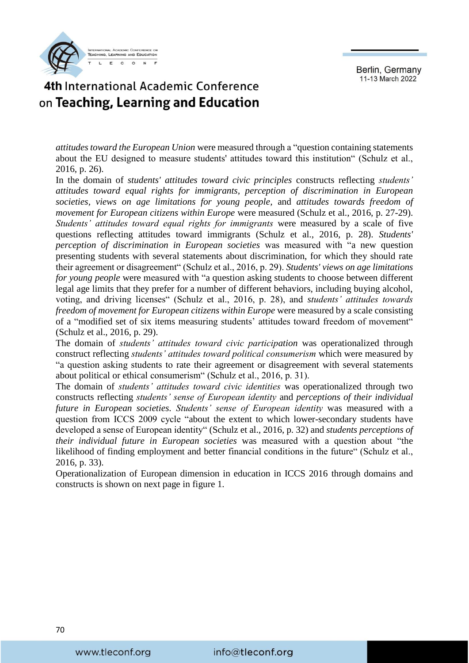

### 4th International Academic Conference on Teaching, Learning and Education

*attitudes toward the European Union* were measured through a "question containing statements about the EU designed to measure students' attitudes toward this institution" (Schulz et al., 2016, p. 26).

In the domain of *students' attitudes toward civic principles* constructs reflecting *students' attitudes toward equal rights for immigrants, perception of discrimination in European societies, views on age limitations for young people,* and *attitudes towards freedom of movement for European citizens within Europe* were measured (Schulz et al., 2016, p. 27-29). *Students' attitudes toward equal rights for immigrants* were measured by a scale of five questions reflecting attitudes toward immigrants (Schulz et al., 2016, p. 28). *Students' perception of discrimination in European societies* was measured with "a new question presenting students with several statements about discrimination, for which they should rate their agreement or disagreement" (Schulz et al., 2016, p. 29). *Students' views on age limitations for young people* were measured with "a question asking students to choose between different legal age limits that they prefer for a number of different behaviors, including buying alcohol, voting, and driving licenses" (Schulz et al., 2016, p. 28), and *students' attitudes towards freedom of movement for European citizens within Europe were measured by a scale consisting* of a "modified set of six items measuring students' attitudes toward freedom of movement" (Schulz et al., 2016, p. 29).

The domain of *students' attitudes toward civic participation* was operationalized through construct reflecting *students' attitudes toward political consumerism* which were measured by "a question asking students to rate their agreement or disagreement with several statements about political or ethical consumerism" (Schulz et al., 2016, p. 31).

The domain of *students' attitudes toward civic identities* was operationalized through two constructs reflecting *students' sense of European identity* and *perceptions of their individual future in European societies. Students' sense of European identity* was measured with a question from ICCS 2009 cycle "about the extent to which lower-secondary students have developed a sense of European identity" (Schulz et al., 2016, p. 32) and *students perceptions of their individual future in European societies* was measured with a question about "the likelihood of finding employment and better financial conditions in the future" (Schulz et al., 2016, p. 33).

Operationalization of European dimension in education in ICCS 2016 through domains and constructs is shown on next page in figure 1.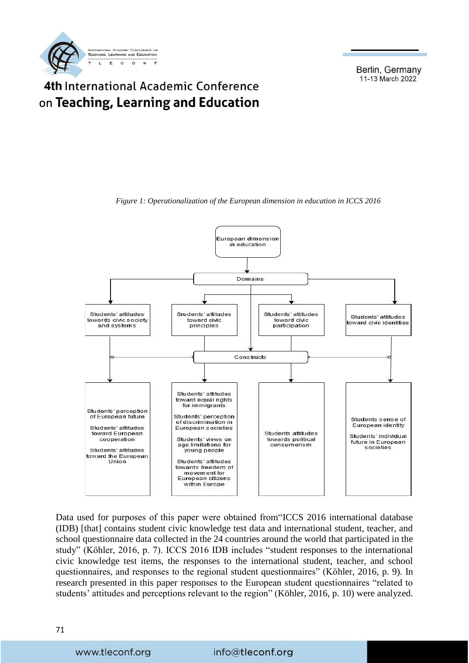

#### 4th International Academic Conference on Teaching, Learning and Education



*Figure 1: Operationalization of the European dimension in education in ICCS 2016*

Data used for purposes of this paper were obtained from"ICCS 2016 international database (IDB) [that] contains student civic knowledge test data and international student, teacher, and school questionnaire data collected in the 24 countries around the world that participated in the study" (Köhler, 2016, p. 7). ICCS 2016 IDB includes "student responses to the international civic knowledge test items, the responses to the international student, teacher, and school questionnaires, and responses to the regional student questionnaires" (Köhler, 2016, p. 9). In research presented in this paper responses to the European student questionnaires "related to students' attitudes and perceptions relevant to the region" (Köhler, 2016, p. 10) were analyzed.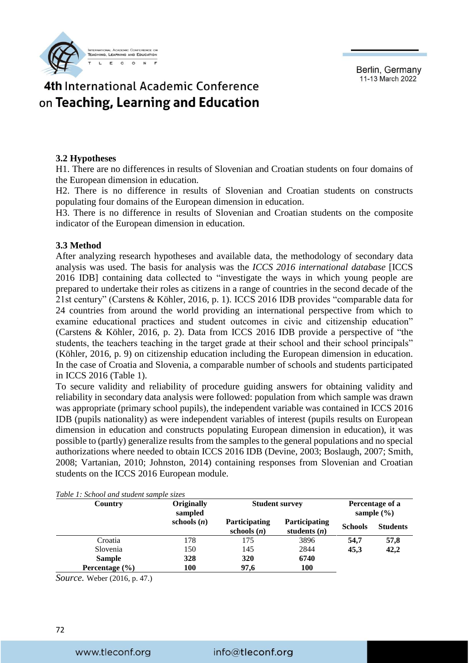**TEACHING LEARNING AND EDUCATION**  $\overline{r}$  $\overline{0}$  $\mathbf{L}$  $\mathbf{C}$ 

Berlin, Germany 11-13 March 2022

### 4th International Academic Conference on Teaching, Learning and Education

#### **3.2 Hypotheses**

H1. There are no differences in results of Slovenian and Croatian students on four domains of the European dimension in education.

H2. There is no difference in results of Slovenian and Croatian students on constructs populating four domains of the European dimension in education.

H3. There is no difference in results of Slovenian and Croatian students on the composite indicator of the European dimension in education.

#### **3.3 Method**

After analyzing research hypotheses and available data, the methodology of secondary data analysis was used. The basis for analysis was the *ICCS 2016 international database* [ICCS 2016 IDB] containing data collected to "investigate the ways in which young people are prepared to undertake their roles as citizens in a range of countries in the second decade of the 21st century" (Carstens & Köhler, 2016, p. 1). ICCS 2016 IDB provides "comparable data for 24 countries from around the world providing an international perspective from which to examine educational practices and student outcomes in civic and citizenship education" (Carstens & Köhler, 2016, p. 2). Data from ICCS 2016 IDB provide a perspective of "the students, the teachers teaching in the target grade at their school and their school principals" (Köhler, 2016, p. 9) on citizenship education including the European dimension in education. In the case of Croatia and Slovenia, a comparable number of schools and students participated in ICCS 2016 (Table 1).

To secure validity and reliability of procedure guiding answers for obtaining validity and reliability in secondary data analysis were followed: population from which sample was drawn was appropriate (primary school pupils), the independent variable was contained in ICCS 2016 IDB (pupils nationality) as were independent variables of interest (pupils results on European dimension in education and constructs populating European dimension in education), it was possible to (partly) generalize results from the samples to the general populations and no special authorizations where needed to obtain ICCS 2016 IDB (Devine, 2003; Boslaugh, 2007; Smith, 2008; Vartanian, 2010; Johnston, 2014) containing responses from Slovenian and Croatian students on the ICCS 2016 European module.

| Country            | <b>Originally</b><br>sampled | <b>Student survey</b>                 | Percentage of a<br>sample $(\% )$      |                |                 |
|--------------------|------------------------------|---------------------------------------|----------------------------------------|----------------|-----------------|
|                    | schools $(n)$                | <b>Participating</b><br>schools $(n)$ | <b>Participating</b><br>students $(n)$ | <b>Schools</b> | <b>Students</b> |
| Croatia            | 178                          | 175                                   | 3896                                   | 54.7           | 57,8            |
| Slovenia           | 150                          | 145                                   | 2844                                   | 45.3           | 42,2            |
| <b>Sample</b>      | 328                          | 320                                   | 6740                                   |                |                 |
| Percentage $(\% )$ | 100                          | 97,6                                  | <b>100</b>                             |                |                 |

*Table 1: School and student sample sizes* 

*Source.* Weber (2016, p. 47.)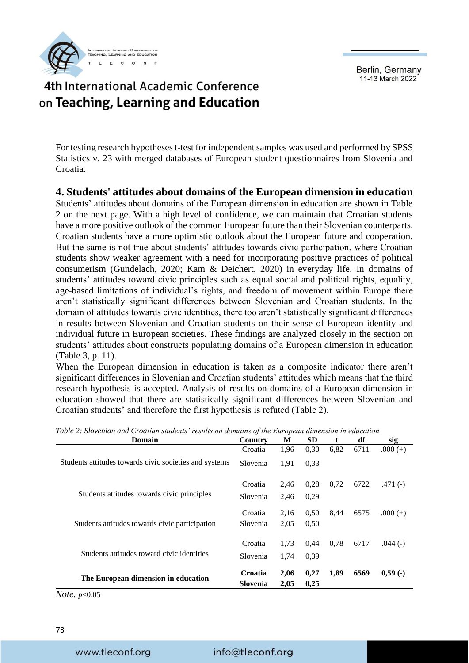

## 4th International Academic Conference on Teaching, Learning and Education

For testing research hypotheses t-test for independent samples was used and performed by SPSS Statistics v. 23 with merged databases of European student questionnaires from Slovenia and Croatia.

#### **4. Students' attitudes about domains of the European dimension in education**

Students' attitudes about domains of the European dimension in education are shown in Table 2 on the next page. With a high level of confidence, we can maintain that Croatian students have a more positive outlook of the common European future than their Slovenian counterparts. Croatian students have a more optimistic outlook about the European future and cooperation. But the same is not true about students' attitudes towards civic participation, where Croatian students show weaker agreement with a need for incorporating positive practices of political consumerism (Gundelach, 2020; Kam & Deichert, 2020) in everyday life. In domains of students' attitudes toward civic principles such as equal social and political rights, equality, age-based limitations of individual's rights, and freedom of movement within Europe there aren't statistically significant differences between Slovenian and Croatian students. In the domain of attitudes towards civic identities, there too aren't statistically significant differences in results between Slovenian and Croatian students on their sense of European identity and individual future in European societies. These findings are analyzed closely in the section on students' attitudes about constructs populating domains of a European dimension in education (Table 3, p. 11).

When the European dimension in education is taken as a composite indicator there aren't significant differences in Slovenian and Croatian students' attitudes which means that the third research hypothesis is accepted. Analysis of results on domains of a European dimension in education showed that there are statistically significant differences between Slovenian and Croatian students' and therefore the first hypothesis is refuted (Table 2).

| Domain                                                 | Country  | M    | <b>SD</b> | $\mathbf{t}$ | df   | sig        |
|--------------------------------------------------------|----------|------|-----------|--------------|------|------------|
|                                                        | Croatia  | 1,96 | 0,30      | 6,82         | 6711 | $.000 (+)$ |
| Students attitudes towards civic societies and systems | Slovenia | 1,91 | 0.33      |              |      |            |
|                                                        | Croatia  | 2,46 | 0,28      | 0,72         | 6722 | .471 $(-)$ |
| Students attitudes towards civic principles            | Slovenia | 2,46 | 0,29      |              |      |            |
|                                                        | Croatia  | 2,16 | 0.50      | 8,44         | 6575 | $.000 (+)$ |
| Students attitudes towards civic participation         | Slovenia | 2,05 | 0,50      |              |      |            |
|                                                        | Croatia  | 1,73 | 0.44      | 0.78         | 6717 | $.044(-)$  |
| Students attitudes toward civic identities             | Slovenia | 1,74 | 0,39      |              |      |            |
| The European dimension in education                    | Croatia  | 2,06 | 0,27      | 1,89         | 6569 | $0,59$ (-) |
| $\mathbf{r}$                                           | Slovenia | 2,05 | 0,25      |              |      |            |

*Table 2: Slovenian and Croatian students' results on domains of the European dimension in education*

*Note. p*<0.05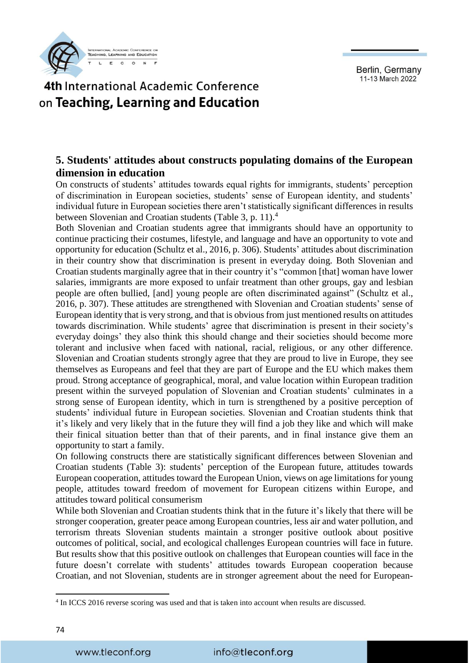

#### 4th International Academic Conference on Teaching, Learning and Education

#### **5. Students' attitudes about constructs populating domains of the European dimension in education**

On constructs of students' attitudes towards equal rights for immigrants, students' perception of discrimination in European societies, students' sense of European identity, and students' individual future in European societies there aren't statistically significant differences in results between Slovenian and Croatian students (Table 3, p. 11).<sup>4</sup>

Both Slovenian and Croatian students agree that immigrants should have an opportunity to continue practicing their costumes, lifestyle, and language and have an opportunity to vote and opportunity for education (Schultz et al., 2016, p. 306). Students' attitudes about discrimination in their country show that discrimination is present in everyday doing. Both Slovenian and Croatian students marginally agree that in their country it's "common [that] woman have lower salaries, immigrants are more exposed to unfair treatment than other groups, gay and lesbian people are often bullied, [and] young people are often discriminated against" (Schultz et al., 2016, p. 307). These attitudes are strengthened with Slovenian and Croatian students' sense of European identity that is very strong, and that is obvious from just mentioned results on attitudes towards discrimination. While students' agree that discrimination is present in their society's everyday doings' they also think this should change and their societies should become more tolerant and inclusive when faced with national, racial, religious, or any other difference. Slovenian and Croatian students strongly agree that they are proud to live in Europe, they see themselves as Europeans and feel that they are part of Europe and the EU which makes them proud. Strong acceptance of geographical, moral, and value location within European tradition present within the surveyed population of Slovenian and Croatian students' culminates in a strong sense of European identity, which in turn is strengthened by a positive perception of students' individual future in European societies. Slovenian and Croatian students think that it's likely and very likely that in the future they will find a job they like and which will make their finical situation better than that of their parents, and in final instance give them an opportunity to start a family.

On following constructs there are statistically significant differences between Slovenian and Croatian students (Table 3): students' perception of the European future, attitudes towards European cooperation, attitudes toward the European Union, views on age limitations for young people, attitudes toward freedom of movement for European citizens within Europe, and attitudes toward political consumerism

While both Slovenian and Croatian students think that in the future it's likely that there will be stronger cooperation, greater peace among European countries, less air and water pollution, and terrorism threats Slovenian students maintain a stronger positive outlook about positive outcomes of political, social, and ecological challenges European countries will face in future. But results show that this positive outlook on challenges that European counties will face in the future doesn't correlate with students' attitudes towards European cooperation because Croatian, and not Slovenian, students are in stronger agreement about the need for European-

1

<sup>4</sup> In ICCS 2016 reverse scoring was used and that is taken into account when results are discussed.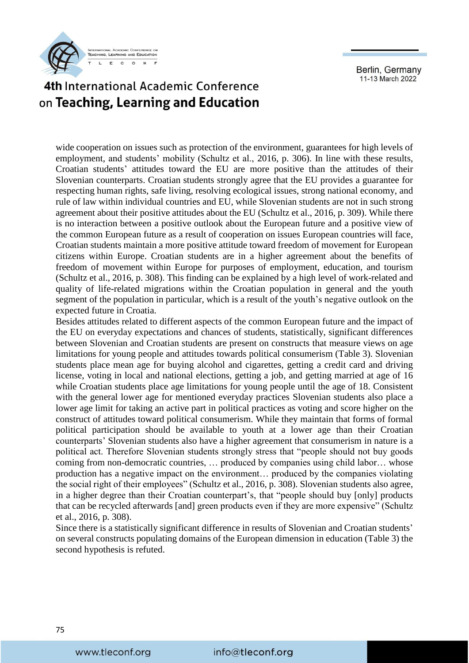

# 4th International Academic Conference on Teaching, Learning and Education

wide cooperation on issues such as protection of the environment, guarantees for high levels of employment, and students' mobility (Schultz et al., 2016, p. 306). In line with these results, Croatian students' attitudes toward the EU are more positive than the attitudes of their Slovenian counterparts. Croatian students strongly agree that the EU provides a guarantee for respecting human rights, safe living, resolving ecological issues, strong national economy, and rule of law within individual countries and EU, while Slovenian students are not in such strong agreement about their positive attitudes about the EU (Schultz et al., 2016, p. 309). While there is no interaction between a positive outlook about the European future and a positive view of the common European future as a result of cooperation on issues European countries will face, Croatian students maintain a more positive attitude toward freedom of movement for European citizens within Europe. Croatian students are in a higher agreement about the benefits of freedom of movement within Europe for purposes of employment, education, and tourism (Schultz et al., 2016, p. 308). This finding can be explained by a high level of work-related and quality of life-related migrations within the Croatian population in general and the youth segment of the population in particular, which is a result of the youth's negative outlook on the expected future in Croatia.

Besides attitudes related to different aspects of the common European future and the impact of the EU on everyday expectations and chances of students, statistically, significant differences between Slovenian and Croatian students are present on constructs that measure views on age limitations for young people and attitudes towards political consumerism (Table 3). Slovenian students place mean age for buying alcohol and cigarettes, getting a credit card and driving license, voting in local and national elections, getting a job, and getting married at age of 16 while Croatian students place age limitations for young people until the age of 18. Consistent with the general lower age for mentioned everyday practices Slovenian students also place a lower age limit for taking an active part in political practices as voting and score higher on the construct of attitudes toward political consumerism. While they maintain that forms of formal political participation should be available to youth at a lower age than their Croatian counterparts' Slovenian students also have a higher agreement that consumerism in nature is a political act. Therefore Slovenian students strongly stress that "people should not buy goods coming from non-democratic countries, … produced by companies using child labor… whose production has a negative impact on the environment… produced by the companies violating the social right of their employees" (Schultz et al., 2016, p. 308). Slovenian students also agree, in a higher degree than their Croatian counterpart's, that "people should buy [only] products that can be recycled afterwards [and] green products even if they are more expensive" (Schultz et al., 2016, p. 308).

Since there is a statistically significant difference in results of Slovenian and Croatian students' on several constructs populating domains of the European dimension in education (Table 3) the second hypothesis is refuted.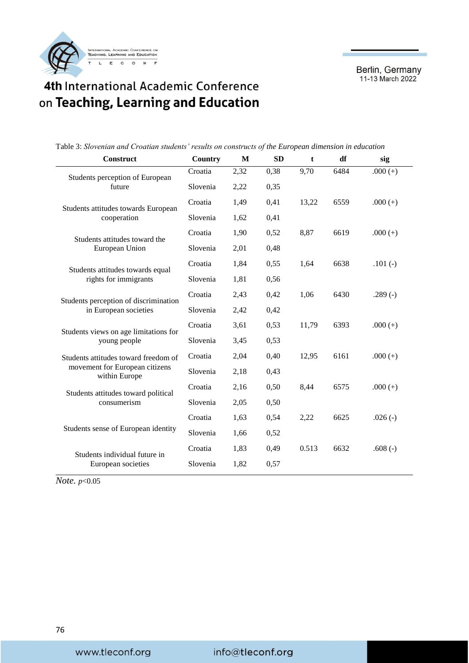

# 4th International Academic Conference on Teaching, Learning and Education

Table 3: *Slovenian and Croatian students' results on constructs of the European dimension in education*

| <b>Construct</b>                                   | <b>Country</b> | M    | <b>SD</b> | t     | df   | sig        |
|----------------------------------------------------|----------------|------|-----------|-------|------|------------|
| Students perception of European                    | Croatia        | 2,32 | 0,38      | 9,70  | 6484 | $.000 (+)$ |
| future                                             | Slovenia       | 2,22 | 0,35      |       |      |            |
| Students attitudes towards European<br>cooperation | Croatia        | 1,49 | 0,41      | 13,22 | 6559 | $.000 (+)$ |
|                                                    | Slovenia       | 1,62 | 0,41      |       |      |            |
| Students attitudes toward the                      | Croatia        | 1,90 | 0,52      | 8,87  | 6619 | $.000 (+)$ |
| European Union                                     | Slovenia       | 2,01 | 0,48      |       |      |            |
| Students attitudes towards equal                   | Croatia        | 1,84 | 0,55      | 1,64  | 6638 | $.101(-)$  |
| rights for immigrants                              | Slovenia       | 1,81 | 0,56      |       |      |            |
| Students perception of discrimination              | Croatia        | 2,43 | 0,42      | 1,06  | 6430 | $.289(-)$  |
| in European societies                              | Slovenia       | 2,42 | 0,42      |       |      |            |
| Students views on age limitations for              | Croatia        | 3,61 | 0,53      | 11,79 | 6393 | $.000 (+)$ |
| young people                                       | Slovenia       | 3,45 | 0,53      |       |      |            |
| Students attitudes toward freedom of               | Croatia        | 2,04 | 0,40      | 12,95 | 6161 | $.000 (+)$ |
| movement for European citizens<br>within Europe    | Slovenia       | 2,18 | 0,43      |       |      |            |
| Students attitudes toward political                | Croatia        | 2,16 | 0,50      | 8,44  | 6575 | $.000 (+)$ |
| consumerism                                        | Slovenia       | 2,05 | 0,50      |       |      |            |
|                                                    | Croatia        | 1,63 | 0,54      | 2,22  | 6625 | $.026(-)$  |
| Students sense of European identity                | Slovenia       | 1,66 | 0,52      |       |      |            |
| Students individual future in                      | Croatia        | 1,83 | 0,49      | 0.513 | 6632 | .608 $(-)$ |
| European societies                                 | Slovenia       | 1,82 | 0,57      |       |      |            |

*Note. p*<0.05

#### info@tleconf.org

www.tleconf.org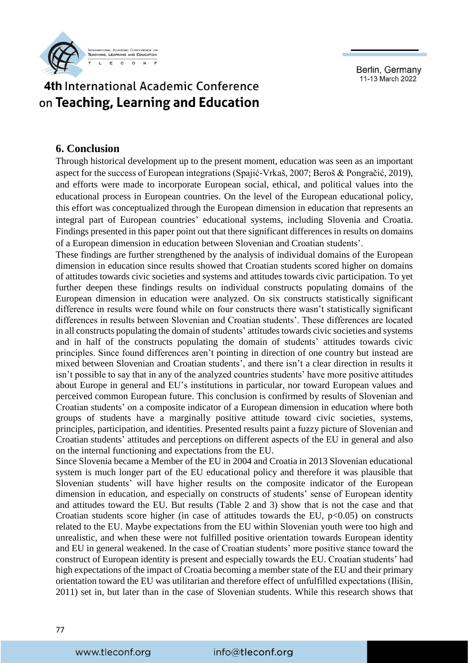

#### 4th International Academic Conference on Teaching, Learning and Education

#### **6. Conclusion**

Through historical development up to the present moment, education was seen as an important aspect for the success of European integrations (Spajić-Vrkaš, 2007; Beroš & Pongračić, 2019), and efforts were made to incorporate European social, ethical, and political values into the educational process in European countries. On the level of the European educational policy, this effort was conceptualized through the European dimension in education that represents an integral part of European countries' educational systems, including Slovenia and Croatia. Findings presented in this paper point out that there significant differences in results on domains of a European dimension in education between Slovenian and Croatian students'.

These findings are further strengthened by the analysis of individual domains of the European dimension in education since results showed that Croatian students scored higher on domains of attitudes towards civic societies and systems and attitudes towards civic participation. To yet further deepen these findings results on individual constructs populating domains of the European dimension in education were analyzed. On six constructs statistically significant difference in results were found while on four constructs there wasn't statistically significant differences in results between Slovenian and Croatian students'. These differences are located in all constructs populating the domain of students' attitudes towards civic societies and systems and in half of the constructs populating the domain of students' attitudes towards civic principles. Since found differences aren't pointing in direction of one country but instead are mixed between Slovenian and Croatian students', and there isn't a clear direction in results it isn't possible to say that in any of the analyzed countries students' have more positive attitudes about Europe in general and EU's institutions in particular, nor toward European values and perceived common European future. This conclusion is confirmed by results of Slovenian and Croatian students' on a composite indicator of a European dimension in education where both groups of students have a marginally positive attitude toward civic societies, systems, principles, participation, and identities. Presented results paint a fuzzy picture of Slovenian and Croatian students' attitudes and perceptions on different aspects of the EU in general and also on the internal functioning and expectations from the EU.

Since Slovenia became a Member of the EU in 2004 and Croatia in 2013 Slovenian educational system is much longer part of the EU educational policy and therefore it was plausible that Slovenian students' will have higher results on the composite indicator of the European dimension in education, and especially on constructs of students' sense of European identity and attitudes toward the EU. But results (Table 2 and 3) show that is not the case and that Croatian students score higher (in case of attitudes towards the EU,  $p<0.05$ ) on constructs related to the EU. Maybe expectations from the EU within Slovenian youth were too high and unrealistic, and when these were not fulfilled positive orientation towards European identity and EU in general weakened. In the case of Croatian students' more positive stance toward the construct of European identity is present and especially towards the EU. Croatian students' had high expectations of the impact of Croatia becoming a member state of the EU and their primary orientation toward the EU was utilitarian and therefore effect of unfulfilled expectations (Ilišin, 2011) set in, but later than in the case of Slovenian students. While this research shows that

#### 77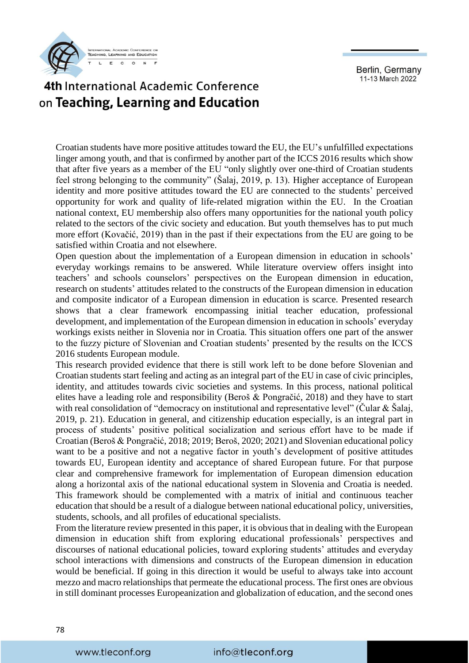

### 4th International Academic Conference on Teaching, Learning and Education

Croatian students have more positive attitudes toward the EU, the EU's unfulfilled expectations linger among youth, and that is confirmed by another part of the ICCS 2016 results which show that after five years as a member of the EU "only slightly over one-third of Croatian students feel strong belonging to the community" (Šalaj, 2019, p. 13). Higher acceptance of European identity and more positive attitudes toward the EU are connected to the students' perceived opportunity for work and quality of life-related migration within the EU. In the Croatian national context, EU membership also offers many opportunities for the national youth policy related to the sectors of the civic society and education. But youth themselves has to put much more effort (Kovačić, 2019) than in the past if their expectations from the EU are going to be satisfied within Croatia and not elsewhere.

Open question about the implementation of a European dimension in education in schools' everyday workings remains to be answered. While literature overview offers insight into teachers' and schools counselors' perspectives on the European dimension in education, research on students' attitudes related to the constructs of the European dimension in education and composite indicator of a European dimension in education is scarce. Presented research shows that a clear framework encompassing initial teacher education, professional development, and implementation of the European dimension in education in schools' everyday workings exists neither in Slovenia nor in Croatia. This situation offers one part of the answer to the fuzzy picture of Slovenian and Croatian students' presented by the results on the ICCS 2016 students European module.

This research provided evidence that there is still work left to be done before Slovenian and Croatian students start feeling and acting as an integral part of the EU in case of civic principles, identity, and attitudes towards civic societies and systems. In this process, national political elites have a leading role and responsibility (Beroš & Pongračić, 2018) and they have to start with real consolidation of "democracy on institutional and representative level" (Cular & Šalaj, 2019, p. 21). Education in general, and citizenship education especially, is an integral part in process of students' positive political socialization and serious effort have to be made if Croatian (Beroš & Pongračić, 2018; 2019; Beroš, 2020; 2021) and Slovenian educational policy want to be a positive and not a negative factor in youth's development of positive attitudes towards EU, European identity and acceptance of shared European future. For that purpose clear and comprehensive framework for implementation of European dimension education along a horizontal axis of the national educational system in Slovenia and Croatia is needed. This framework should be complemented with a matrix of initial and continuous teacher education that should be a result of a dialogue between national educational policy, universities, students, schools, and all profiles of educational specialists.

From the literature review presented in this paper, it is obvious that in dealing with the European dimension in education shift from exploring educational professionals' perspectives and discourses of national educational policies, toward exploring students' attitudes and everyday school interactions with dimensions and constructs of the European dimension in education would be beneficial. If going in this direction it would be useful to always take into account mezzo and macro relationships that permeate the educational process. The first ones are obvious in still dominant processes Europeanization and globalization of education, and the second ones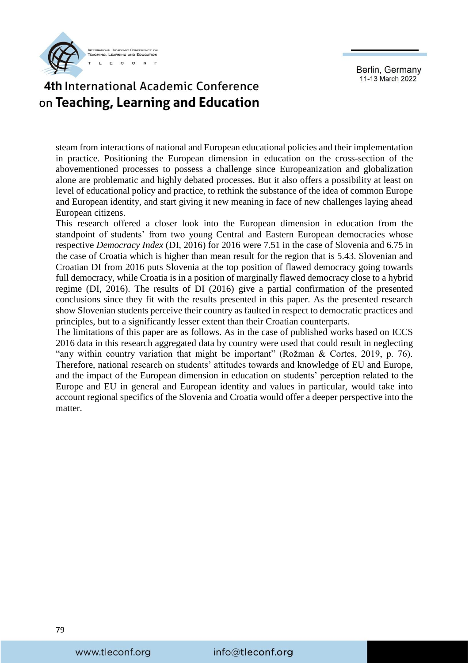

# 4th International Academic Conference on Teaching, Learning and Education

steam from interactions of national and European educational policies and their implementation in practice. Positioning the European dimension in education on the cross-section of the abovementioned processes to possess a challenge since Europeanization and globalization alone are problematic and highly debated processes. But it also offers a possibility at least on level of educational policy and practice, to rethink the substance of the idea of common Europe and European identity, and start giving it new meaning in face of new challenges laying ahead European citizens.

This research offered a closer look into the European dimension in education from the standpoint of students' from two young Central and Eastern European democracies whose respective *Democracy Index* (DI, 2016) for 2016 were 7.51 in the case of Slovenia and 6.75 in the case of Croatia which is higher than mean result for the region that is 5.43. Slovenian and Croatian DI from 2016 puts Slovenia at the top position of flawed democracy going towards full democracy, while Croatia is in a position of marginally flawed democracy close to a hybrid regime (DI, 2016). The results of DI (2016) give a partial confirmation of the presented conclusions since they fit with the results presented in this paper. As the presented research show Slovenian students perceive their country as faulted in respect to democratic practices and principles, but to a significantly lesser extent than their Croatian counterparts.

The limitations of this paper are as follows. As in the case of published works based on ICCS 2016 data in this research aggregated data by country were used that could result in neglecting "any within country variation that might be important" (Rožman & Cortes, 2019, p. 76). Therefore, national research on students' attitudes towards and knowledge of EU and Europe, and the impact of the European dimension in education on students' perception related to the Europe and EU in general and European identity and values in particular, would take into account regional specifics of the Slovenia and Croatia would offer a deeper perspective into the matter.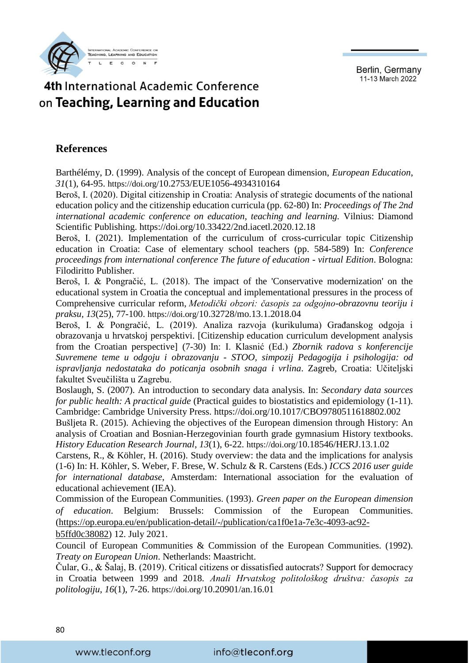**TEACHING LEARNING AND EDUCATION**  $_{\rm c}$  $\overline{r}$  $\circ$  $\mathbf{L}$ 

Berlin, Germany 11-13 March 2022

# 4th International Academic Conference on Teaching, Learning and Education

#### **References**

Barthélémy, D. (1999). Analysis of the concept of European dimension, *European Education*, *31*(1), 64-95. https://doi.org/[10.2753/EUE1056-4934310164](https://doi.org/10.2753/EUE1056-4934310164)

Beroš, I. (2020). Digital citizenship in Croatia: Analysis of strategic documents of the national education policy and the citizenship education curricula (pp. 62-80) In: *Proceedings of The 2nd international academic conference on education, teaching and learning.* Vilnius: Diamond Scientific Publishing. <https://doi.org/10.33422/2nd.iacetl.2020.12.18>

Beroš, I. (2021). Implementation of the curriculum of cross-curricular topic Citizenship education in Croatia: Case of elementary school teachers (pp. 584-589) In: *Conference proceedings from international conference The future of education - virtual Edition*. Bologna: Filodiritto Publisher.

Beroš, I. & Pongračić, L. (2018). The impact of the 'Conservative modernization' on the educational system in Croatia the conceptual and implementational pressures in the process of Comprehensive curricular reform, *Metodički obzori: časopis za odgojno-obrazovnu teoriju i praksu, 13*(25), 77-100. https://doi.org/[10.32728/mo.13.1.2018.04](https://doi.org/10.32728/mo.13.1.2018.04) 

Beroš, I. & Pongračić, L. (2019). Analiza razvoja (kurikuluma) Građanskog odgoja i obrazovanja u hrvatskoj perspektivi. [Citizenship education curriculum development analysis from the Croatian perspective] (7-30) In: I. Klasnić (Ed.) *Zbornik radova s konferencije Suvremene teme u odgoju i obrazovanju - STOO, simpozij Pedagogija i psihologija: od ispravljanja nedostataka do poticanja osobnih snaga i vrlina*. Zagreb, Croatia: Učiteljski fakultet Sveučilišta u Zagrebu.

Boslaugh, S. (2007). An introduction to secondary data analysis. In: *Secondary data sources for public health: A practical guide* (Practical guides to biostatistics and epidemiology (1-11). Cambridge: Cambridge University Press.<https://doi.org/10.1017/CBO9780511618802.002>

Bušljeta R. (2015). Achieving the objectives of the European dimension through History: An analysis of Croatian and Bosnian-Herzegovinian fourth grade gymnasium History textbooks. *History Education Research Journal*, *13*(1), 6-22. https://doi.org/[10.18546/HERJ.13.1.02](http://dx.doi.org/10.18546/HERJ.13.1.02)

Carstens, R., & Köhler, H. (2016). Study overview: the data and the implications for analysis (1-6) In: H. Köhler, S. Weber, F. Brese, W. Schulz & R. Carstens (Eds.) *ICCS 2016 user guide for international database*, Amsterdam: International association for the evaluation of educational achievement (IEA).

Commission of the European Communities. (1993). *Green paper on the European dimension of education*. Belgium: Brussels: Commission of the European Communities. [\(https://op.europa.eu/en/publication-detail/-/publication/ca1f0e1a-7e3c-4093-ac92](https://op.europa.eu/en/publication-detail/-/publication/ca1f0e1a-7e3c-4093-ac92-b5ffd0c38082) [b5ffd0c38082\)](https://op.europa.eu/en/publication-detail/-/publication/ca1f0e1a-7e3c-4093-ac92-b5ffd0c38082) 12. July 2021.

Council of European Communities & Commission of the European Communities. (1992). *Treaty on European Union*. Netherlands: Maastricht.

Čular, G., & Šalaj, B. (2019). Critical citizens or dissatisfied autocrats? Support for democracy in Croatia between 1999 and 2018. *Anali Hrvatskog politološkog društva: časopis za politologiju*, *16*(1), 7-26. https://doi.org/[10.20901/an.16.01](https://doi.org/10.20901/an.16.01)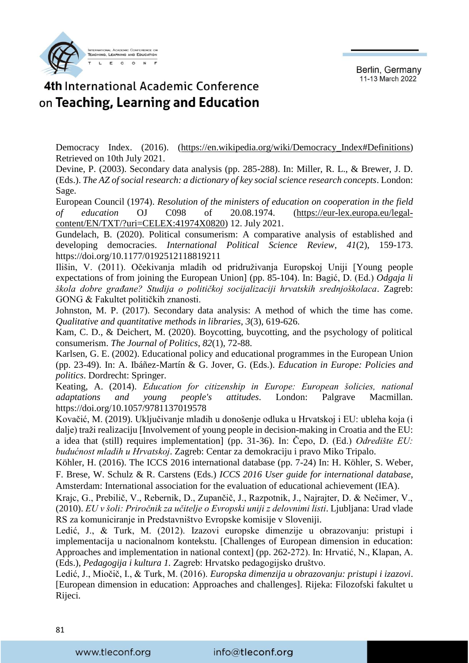

### 4th International Academic Conference on Teaching, Learning and Education

Democracy Index. (2016). (https://en.wikipedia.org/wiki/Democracy Index#Definitions) Retrieved on 10th July 2021.

Devine, P. (2003). Secondary data analysis (pp. 285-288). In: Miller, R. L., & Brewer, J. D. (Eds.). *The AZ of social research: a dictionary of key social science research concepts*. London: Sage.

European Council (1974). *Resolution of the ministers of education on cooperation in the field of education* OJ C098 of 20.08.1974. [\(https://eur-lex.europa.eu/legal](https://eur-lex.europa.eu/legal-content/EN/TXT/?uri=CELEX:41974X0820)[content/EN/TXT/?uri=CELEX:41974X0820\)](https://eur-lex.europa.eu/legal-content/EN/TXT/?uri=CELEX:41974X0820) 12. July 2021.

Gundelach, B. (2020). Political consumerism: A comparative analysis of established and developing democracies. *International Political Science Review*, *41*(2), 159-173. <https://doi.org/10.1177/0192512118819211>

Ilišin, V. (2011). Očekivanja mladih od pridruživanja Europskoj Uniji [Young people expectations of from joining the European Union] (pp. 85-104). In: Bagić, D. (Ed.) *Odgaja li škola dobre građane? Studija o političkoj socijalizaciji hrvatskih srednjoškolaca*. Zagreb: GONG & Fakultet političkih znanosti.

Johnston, M. P. (2017). Secondary data analysis: A method of which the time has come. *Qualitative and quantitative methods in libraries*, *3*(3), 619-626.

Kam, C. D., & Deichert, M. (2020). Boycotting, buycotting, and the psychology of political consumerism. *The Journal of Politics*, *82*(1), 72-88.

Karlsen, G. E. (2002). Educational policy and educational programmes in the European Union (pp. 23-49). In: A. Ibáñez-Martín & G. Jover, G. (Eds.). *Education in Europe: Policies and politics*. Dordrecht: Springer.

Keating, A. (2014). *Education for citizenship in Europe: European šolicies, national adaptations and young people's attitudes*. London: Palgrave Macmillan. <https://doi.org/10.1057/9781137019578>

Kovačić, M. (2019). Uključivanje mladih u donošenje odluka u Hrvatskoj i EU: ubleha koja (i dalje) traži realizaciju [Involvement of young people in decision-making in Croatia and the EU: a idea that (still) requires implementation] (pp. 31-36). In: Čepo, D. (Ed.) *Odredište EU: budućnost mladih u Hrvatskoj*. Zagreb: Centar za demokraciju i pravo Miko Tripalo.

Köhler, H. (2016). The ICCS 2016 international database (pp. 7-24) In: H. Köhler, S. Weber, F. Brese, W. Schulz & R. Carstens (Eds.) *ICCS 2016 User guide for international database*, Amsterdam: International association for the evaluation of educational achievement (IEA).

Krajc, G., Prebilič, V., Rebernik, D., Zupančič, J., Razpotnik, J., Najrajter, D. & Nečimer, V., (2010). *EU v šoli: Priročnik za učitelje o Evropski uniji z delovnimi listi*. Ljubljana: Urad vlade RS za komuniciranje in Predstavništvo Evropske komisije v Sloveniji.

Ledić, J., & Turk, M. (2012). Izazovi europske dimenzije u obrazovanju: pristupi i implementacija u nacionalnom kontekstu. [Challenges of European dimension in education: Approaches and implementation in national context] (pp. 262-272). In: Hrvatić, N., Klapan, A. (Eds.), *Pedagogija i kultura 1.* Zagreb: Hrvatsko pedagogijsko društvo.

Ledić, J., Miočič, I., & Turk, M. (2016). *Europska dimenzija u obrazovanju: pristupi i izazovi*. [European dimension in education: Approaches and challenges]. Rijeka: Filozofski fakultet u Rijeci.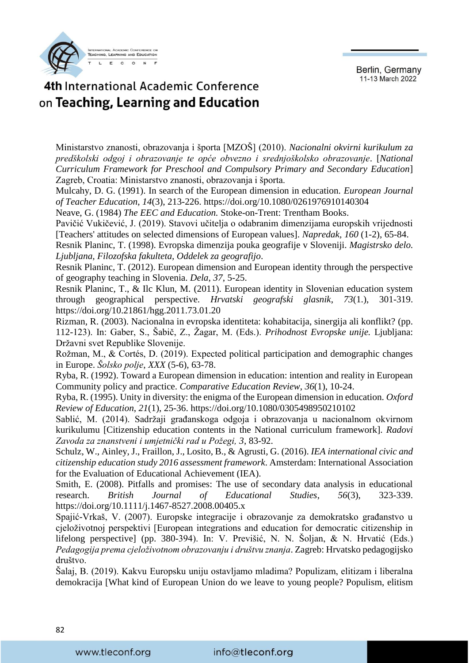

# 4th International Academic Conference on Teaching, Learning and Education

Ministarstvo znanosti, obrazovanja i športa [MZOŠ] (2010). *Nacionalni okvirni kurikulum za predškolski odgoj i obrazovanje te opće obvezno i srednjoškolsko obrazovanje*. [*National Curriculum Framework for Preschool and Compulsory Primary and Secondary Education*] Zagreb, Croatia: Ministarstvo znanosti, obrazovanja i športa.

Mulcahy, D. G. (1991). In search of the European dimension in education. *European Journal of Teacher Education*, *14*(3), 213-226.<https://doi.org/10.1080/0261976910140304>

Neave, G. (1984) *The EEC and Education.* Stoke-on-Trent: Trentham Books.

Pavičić Vukičević, J. (2019). Stavovi učitelja o odabranim dimenzijama europskih vrijednosti [Teachers' attitudes on selected dimensions of European values]. *Napredak, 160* (1-2), 65-84.

Resnik Planinc, T. (1998). Evropska dimenzija pouka geografije v Sloveniji. *Magistrsko delo. Ljubljana, Filozofska fakulteta, Oddelek za geografijo*.

Resnik Planinc, T. (2012). European dimension and European identity through the perspective of geography teaching in Slovenia. *Dela*, *37*, 5-25.

Resnik Planinc, T., & Ilc Klun, M. (2011). European identity in Slovenian education system through geographical perspective. *Hrvatski geografski glasnik*, *73*(1.), 301-319. https://doi.org[/10.21861/hgg.2011.73.01.20](https://doi.org/10.21861/hgg.2011.73.01.20)

Rizman, R. (2003). Nacionalna in evropska identiteta: kohabitacija, sinergija ali konflikt? (pp. 112-123). In: Gaber, S., Šabič, Z., Žagar, M. (Eds.). *Prihodnost Evropske unije.* Ljubljana: Državni svet Republike Slovenije.

Rožman, M., & Cortés, D. (2019). Expected political participation and demographic changes in Europe. *Šolsko polje*, *XXX* (5-6), 63-78.

Ryba, R. (1992). Toward a European dimension in education: intention and reality in European Community policy and practice. *Comparative Education Review*, *36*(1), 10-24.

Ryba, R. (1995). Unity in diversity: the enigma of the European dimension in education. *Oxford Review of Education*, *21*(1), 25-36.<https://doi.org/10.1080/0305498950210102>

Sablić, M. (2014). Sadržaji građanskoga odgoja i obrazovanja u nacionalnom okvirnom kurikulumu [Citizenship education contents in the National curriculum framework]. *Radovi Zavoda za znanstveni i umjetnički rad u Požegi, 3*, 83-92.

Schulz, W., Ainley, J., Fraillon, J., Losito, B., & Agrusti, G. (2016). *IEA international civic and citizenship education study 2016 assessment framework*. Amsterdam: International Association for the Evaluation of Educational Achievement (IEA).

Smith, E. (2008). Pitfalls and promises: The use of secondary data analysis in educational research. *British Journal of Educational Studies*, *56*(3), 323-339. https://doi.org[/10.1111/j.1467-8527.2008.00405.x](https://doi.org/10.1111/j.1467-8527.2008.00405.x) 

Spajić-Vrkaš, V. (2007). Europske integracije i obrazovanje za demokratsko građanstvo u cjeloživotnoj perspektivi [European integrations and education for democratic citizenship in lifelong perspective] (pp. 380-394). In: V. Previšić, N. N. Šoljan, & N. Hrvatić (Eds.) *Pedagogija prema cjeloživotnom obrazovanju i društvu znanja*. Zagreb: Hrvatsko pedagogijsko društvo.

Šalaj, B. (2019). Kakvu Europsku uniju ostavljamo mladima? Populizam, elitizam i liberalna demokracija [What kind of European Union do we leave to young people? Populism, elitism